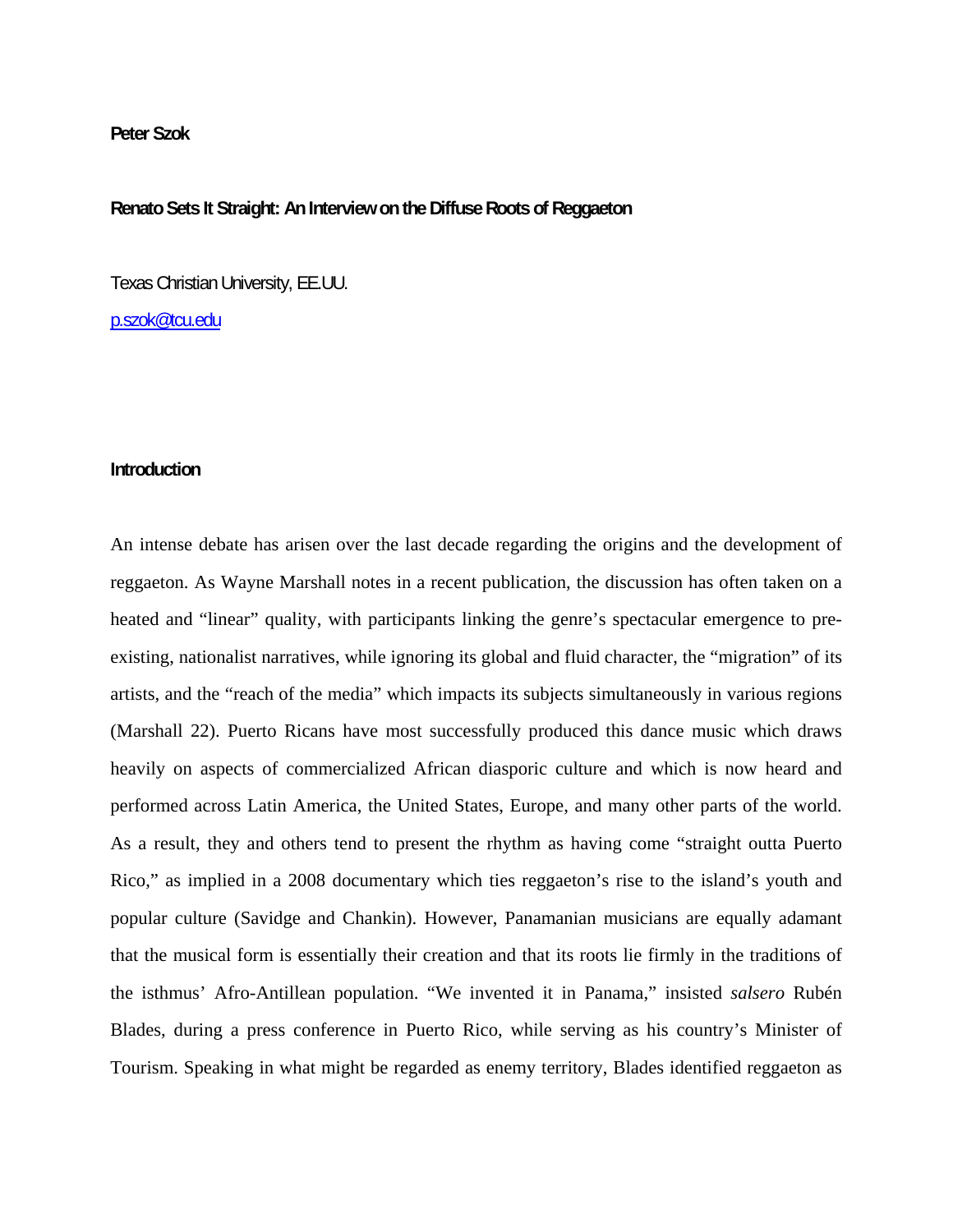## **Peter Szok**

## **Renato Sets It Straight: An Interview on the Diffuse Roots of Reggaeton**

Texas Christian University, EE.UU.

[p.szok@tcu.edu](mailto:p.szok@tcu.edu)

## **Introduction**

An intense debate has arisen over the last decade regarding the origins and the development of reggaeton. As Wayne Marshall notes in a recent publication, the discussion has often taken on a heated and "linear" quality, with participants linking the genre's spectacular emergence to preexisting, nationalist narratives, while ignoring its global and fluid character, the "migration" of its artists, and the "reach of the media" which impacts its subjects simultaneously in various regions (Marshall 22). Puerto Ricans have most successfully produced this dance music which draws heavily on aspects of commercialized African diasporic culture and which is now heard and performed across Latin America, the United States, Europe, and many other parts of the world. As a result, they and others tend to present the rhythm as having come "straight outta Puerto Rico," as implied in a 2008 documentary which ties reggaeton's rise to the island's youth and popular culture (Savidge and Chankin). However, Panamanian musicians are equally adamant that the musical form is essentially their creation and that its roots lie firmly in the traditions of the isthmus' Afro-Antillean population. "We invented it in Panama," insisted *salsero* Rubén Blades, during a press conference in Puerto Rico, while serving as his country's Minister of Tourism. Speaking in what might be regarded as enemy territory, Blades identified reggaeton as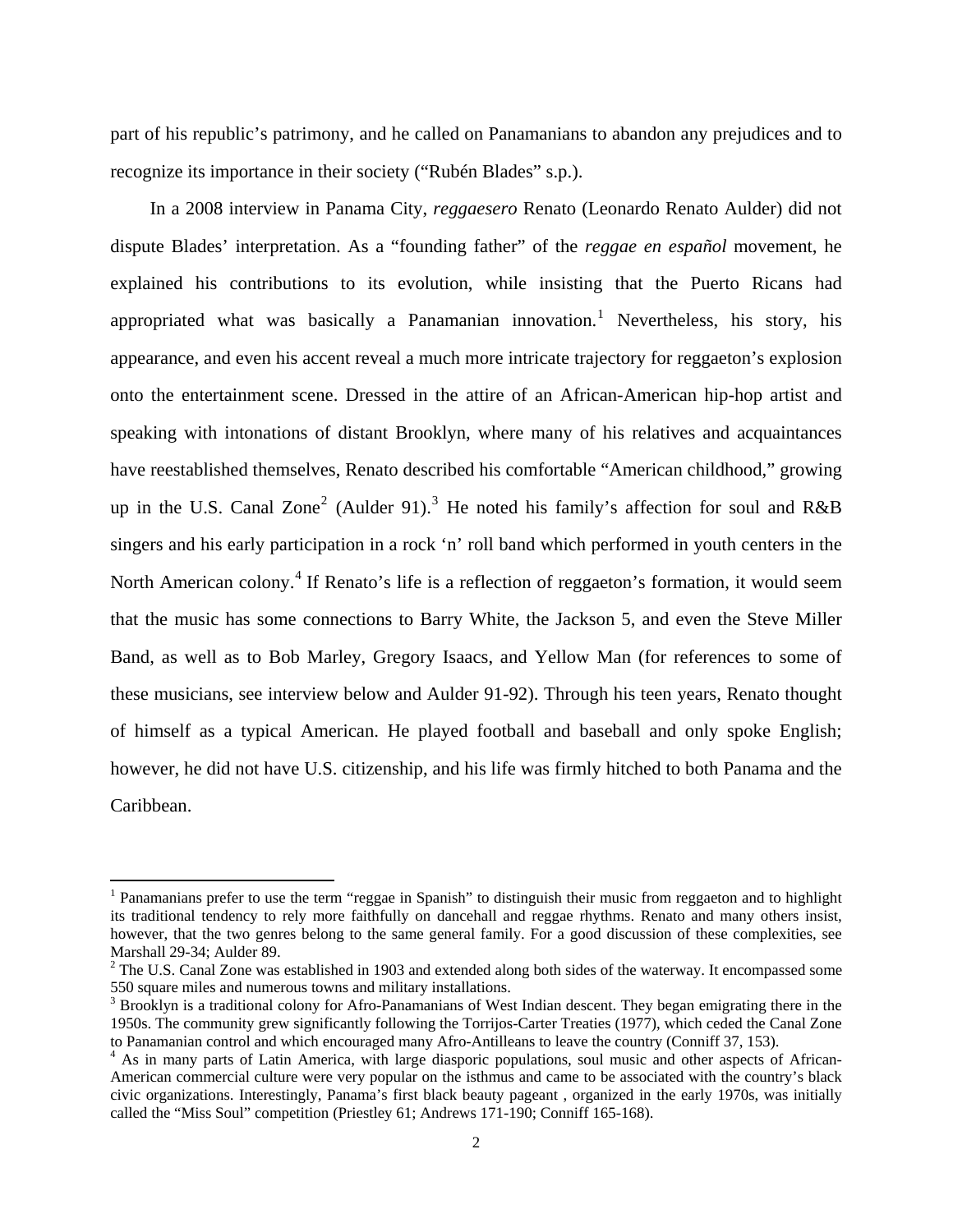part of his republic's patrimony, and he called on Panamanians to abandon any prejudices and to recognize its importance in their society ("Rubén Blades" s.p.).

In a 2008 interview in Panama City, *reggaesero* Renato (Leonardo Renato Aulder) did not dispute Blades' interpretation. As a "founding father" of the *reggae en español* movement, he explained his contributions to its evolution, while insisting that the Puerto Ricans had appropriated what was basically a Panamanian innovation.<sup>[1](#page-1-0)</sup> Nevertheless, his story, his appearance, and even his accent reveal a much more intricate trajectory for reggaeton's explosion onto the entertainment scene. Dressed in the attire of an African-American hip-hop artist and speaking with intonations of distant Brooklyn, where many of his relatives and acquaintances have reestablished themselves, Renato described his comfortable "American childhood," growing up in the U.S. Canal Zone<sup>[2](#page-1-1)</sup> (Aulder 91).<sup>[3](#page-1-2)</sup> He noted his family's affection for soul and R&B singers and his early participation in a rock 'n' roll band which performed in youth centers in the North American colony.<sup>[4](#page-1-3)</sup> If Renato's life is a reflection of reggaeton's formation, it would seem that the music has some connections to Barry White, the Jackson 5, and even the Steve Miller Band, as well as to Bob Marley, Gregory Isaacs, and Yellow Man (for references to some of these musicians, see interview below and Aulder 91-92). Through his teen years, Renato thought of himself as a typical American. He played football and baseball and only spoke English; however, he did not have U.S. citizenship, and his life was firmly hitched to both Panama and the Caribbean.

<span id="page-1-0"></span><sup>&</sup>lt;sup>1</sup> Panamanians prefer to use the term "reggae in Spanish" to distinguish their music from reggaeton and to highlight its traditional tendency to rely more faithfully on dancehall and reggae rhythms. Renato and many others insist, however, that the two genres belong to the same general family. For a good discussion of these complexities, see Marshall 29-34; Aulder 89.

<span id="page-1-1"></span> $2^2$  The U.S. Canal Zone was established in 1903 and extended along both sides of the waterway. It encompassed some 550 square miles and numerous towns and military installations.

<span id="page-1-2"></span><sup>&</sup>lt;sup>3</sup> Brooklyn is a traditional colony for Afro-Panamanians of West Indian descent. They began emigrating there in the 1950s. The community grew significantly following the Torrijos-Carter Treaties (1977), which ceded the Canal Zone to Panamanian control and which encouraged many Afro-Antilleans to leave the country (Conniff 37, 153).

<span id="page-1-3"></span><sup>&</sup>lt;sup>4</sup> As in many parts of Latin America, with large diasporic populations, soul music and other aspects of African-American commercial culture were very popular on the isthmus and came to be associated with the country's black civic organizations. Interestingly, Panama's first black beauty pageant , organized in the early 1970s, was initially called the "Miss Soul" competition (Priestley 61; Andrews 171-190; Conniff 165-168).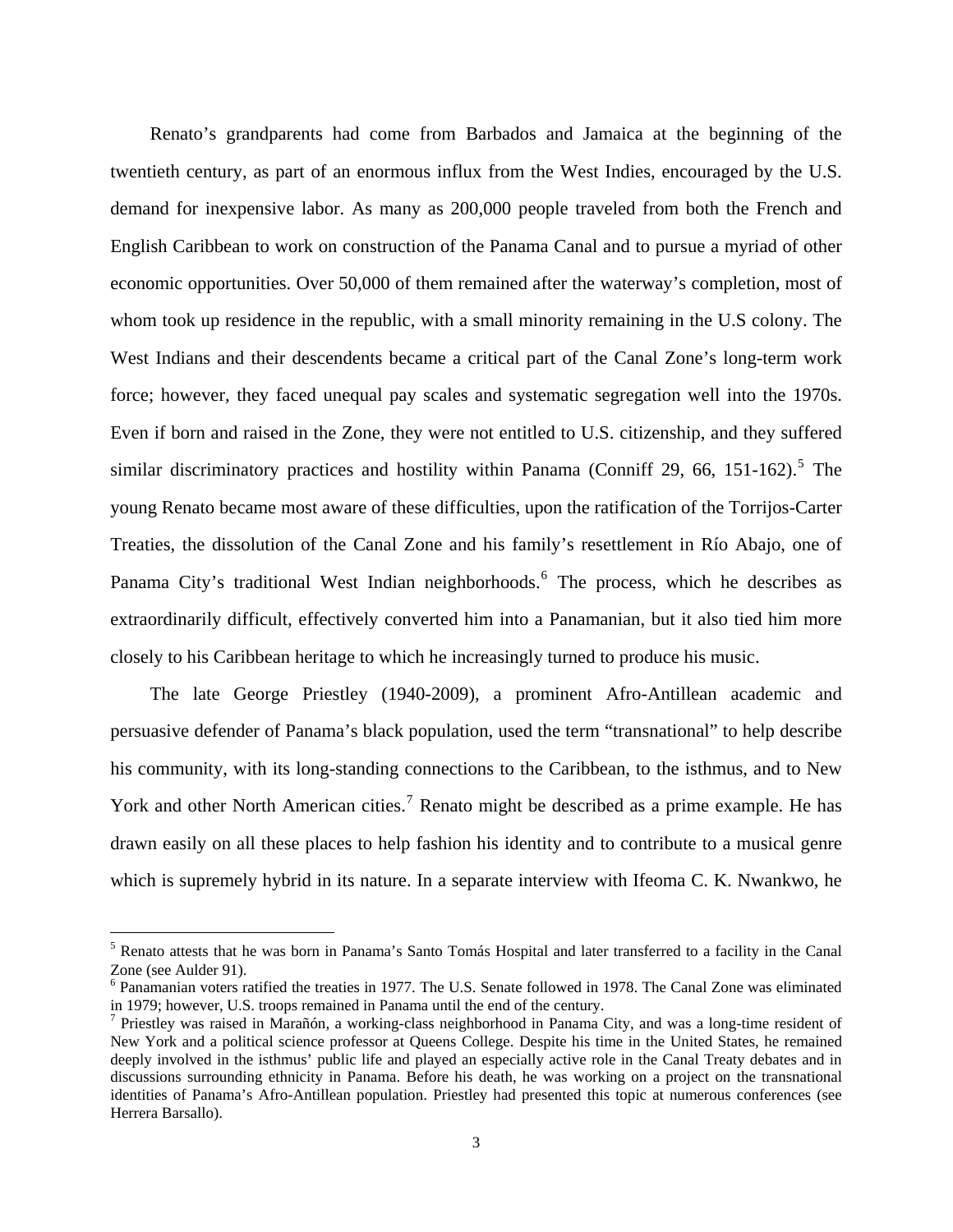Renato's grandparents had come from Barbados and Jamaica at the beginning of the twentieth century, as part of an enormous influx from the West Indies, encouraged by the U.S. demand for inexpensive labor. As many as 200,000 people traveled from both the French and English Caribbean to work on construction of the Panama Canal and to pursue a myriad of other economic opportunities. Over 50,000 of them remained after the waterway's completion, most of whom took up residence in the republic, with a small minority remaining in the U.S colony. The West Indians and their descendents became a critical part of the Canal Zone's long-term work force; however, they faced unequal pay scales and systematic segregation well into the 1970s. Even if born and raised in the Zone, they were not entitled to U.S. citizenship, and they suffered similar discriminatory practices and hostility within Panama (Conniff 29, 66, 1[5](#page-2-0)1-162).<sup>5</sup> The young Renato became most aware of these difficulties, upon the ratification of the Torrijos-Carter Treaties, the dissolution of the Canal Zone and his family's resettlement in Río Abajo, one of Panama City's traditional West Indian neighborhoods.<sup>[6](#page-2-1)</sup> The process, which he describes as extraordinarily difficult, effectively converted him into a Panamanian, but it also tied him more closely to his Caribbean heritage to which he increasingly turned to produce his music.

The late George Priestley (1940-2009), a prominent Afro-Antillean academic and persuasive defender of Panama's black population, used the term "transnational" to help describe his community, with its long-standing connections to the Caribbean, to the isthmus, and to New York and other North American cities.<sup>[7](#page-2-2)</sup> Renato might be described as a prime example. He has drawn easily on all these places to help fashion his identity and to contribute to a musical genre which is supremely hybrid in its nature. In a separate interview with Ifeoma C. K. Nwankwo, he

<span id="page-2-0"></span><sup>&</sup>lt;sup>5</sup> Renato attests that he was born in Panama's Santo Tomás Hospital and later transferred to a facility in the Canal Zone (see Aulder 91).

<span id="page-2-1"></span><sup>&</sup>lt;sup>6</sup> Panamanian voters ratified the treaties in 1977. The U.S. Senate followed in 1978. The Canal Zone was eliminated in 1979; however, U.S. troops remained in Panama until the end of the century.

<span id="page-2-2"></span><sup>&</sup>lt;sup>7</sup> Priestley was raised in Marañón, a working-class neighborhood in Panama City, and was a long-time resident of New York and a political science professor at Queens College. Despite his time in the United States, he remained deeply involved in the isthmus' public life and played an especially active role in the Canal Treaty debates and in discussions surrounding ethnicity in Panama. Before his death, he was working on a project on the transnational identities of Panama's Afro-Antillean population. Priestley had presented this topic at numerous conferences (see Herrera Barsallo).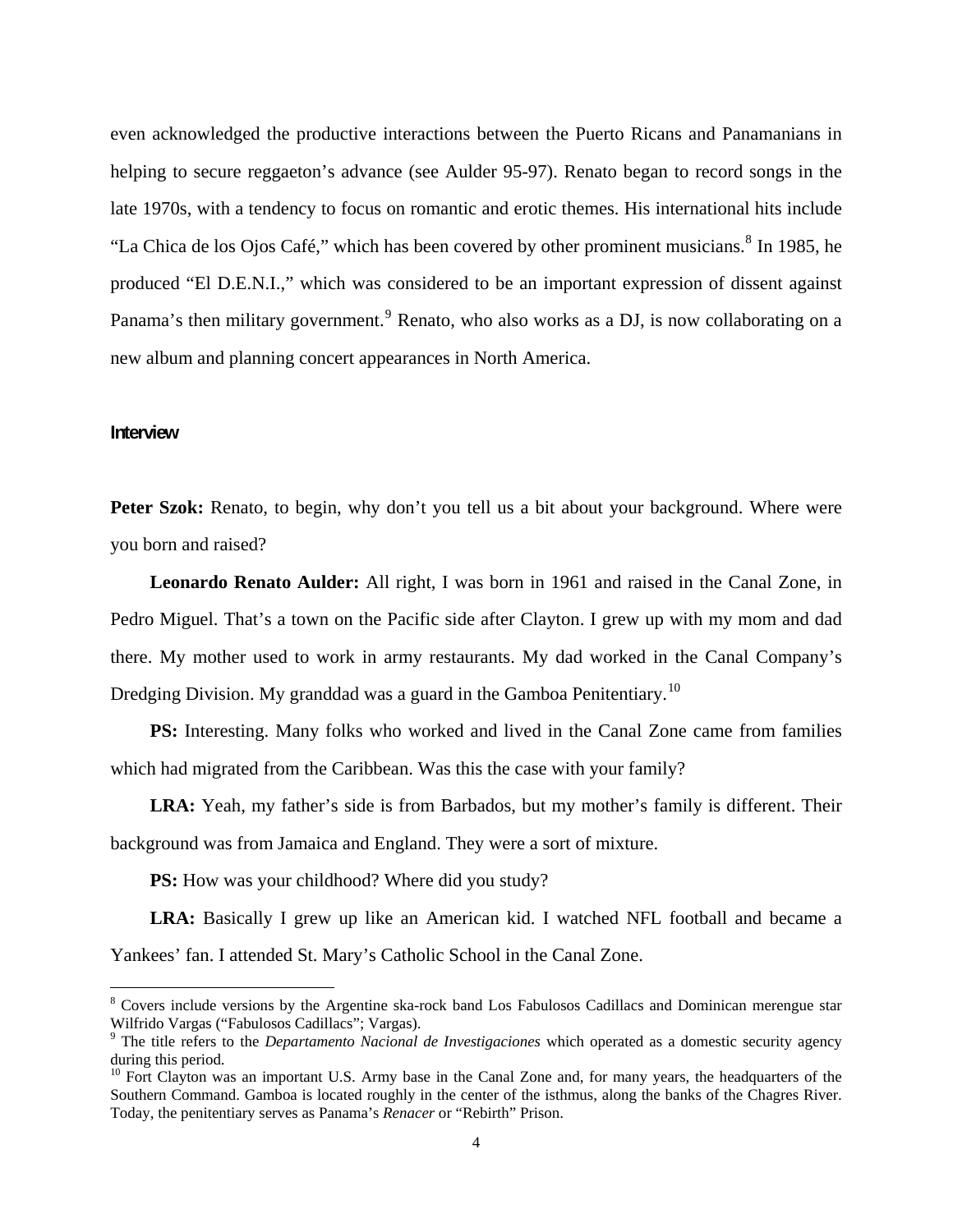even acknowledged the productive interactions between the Puerto Ricans and Panamanians in helping to secure reggaeton's advance (see Aulder 95-97). Renato began to record songs in the late 1970s, with a tendency to focus on romantic and erotic themes. His international hits include "La Chica de los Ojos Café," which has been covered by other prominent musicians.<sup>[8](#page-3-0)</sup> In 1985, he produced "El D.E.N.I.," which was considered to be an important expression of dissent against Panama's then military government.<sup>[9](#page-3-1)</sup> Renato, who also works as a DJ, is now collaborating on a new album and planning concert appearances in North America.

#### **Interview**

 $\overline{a}$ 

**Peter Szok:** Renato, to begin, why don't you tell us a bit about your background. Where were you born and raised?

**Leonardo Renato Aulder:** All right, I was born in 1961 and raised in the Canal Zone, in Pedro Miguel. That's a town on the Pacific side after Clayton. I grew up with my mom and dad there. My mother used to work in army restaurants. My dad worked in the Canal Company's Dredging Division. My granddad was a guard in the Gamboa Penitentiary.<sup>[10](#page-3-2)</sup>

PS: Interesting. Many folks who worked and lived in the Canal Zone came from families which had migrated from the Caribbean. Was this the case with your family?

**LRA:** Yeah, my father's side is from Barbados, but my mother's family is different. Their background was from Jamaica and England. They were a sort of mixture.

**PS:** How was your childhood? Where did you study?

**LRA:** Basically I grew up like an American kid. I watched NFL football and became a Yankees' fan. I attended St. Mary's Catholic School in the Canal Zone.

<span id="page-3-0"></span><sup>&</sup>lt;sup>8</sup> Covers include versions by the Argentine ska-rock band Los Fabulosos Cadillacs and Dominican merengue star Wilfrido Vargas ("Fabulosos Cadillacs"; Vargas).

<span id="page-3-1"></span><sup>&</sup>lt;sup>9</sup> The title refers to the *Departamento Nacional de Investigaciones* which operated as a domestic security agency during this period.

<span id="page-3-2"></span><sup>&</sup>lt;sup>10</sup> Fort Clayton was an important U.S. Army base in the Canal Zone and, for many years, the headquarters of the Southern Command. Gamboa is located roughly in the center of the isthmus, along the banks of the Chagres River. Today, the penitentiary serves as Panama's *Renacer* or "Rebirth" Prison.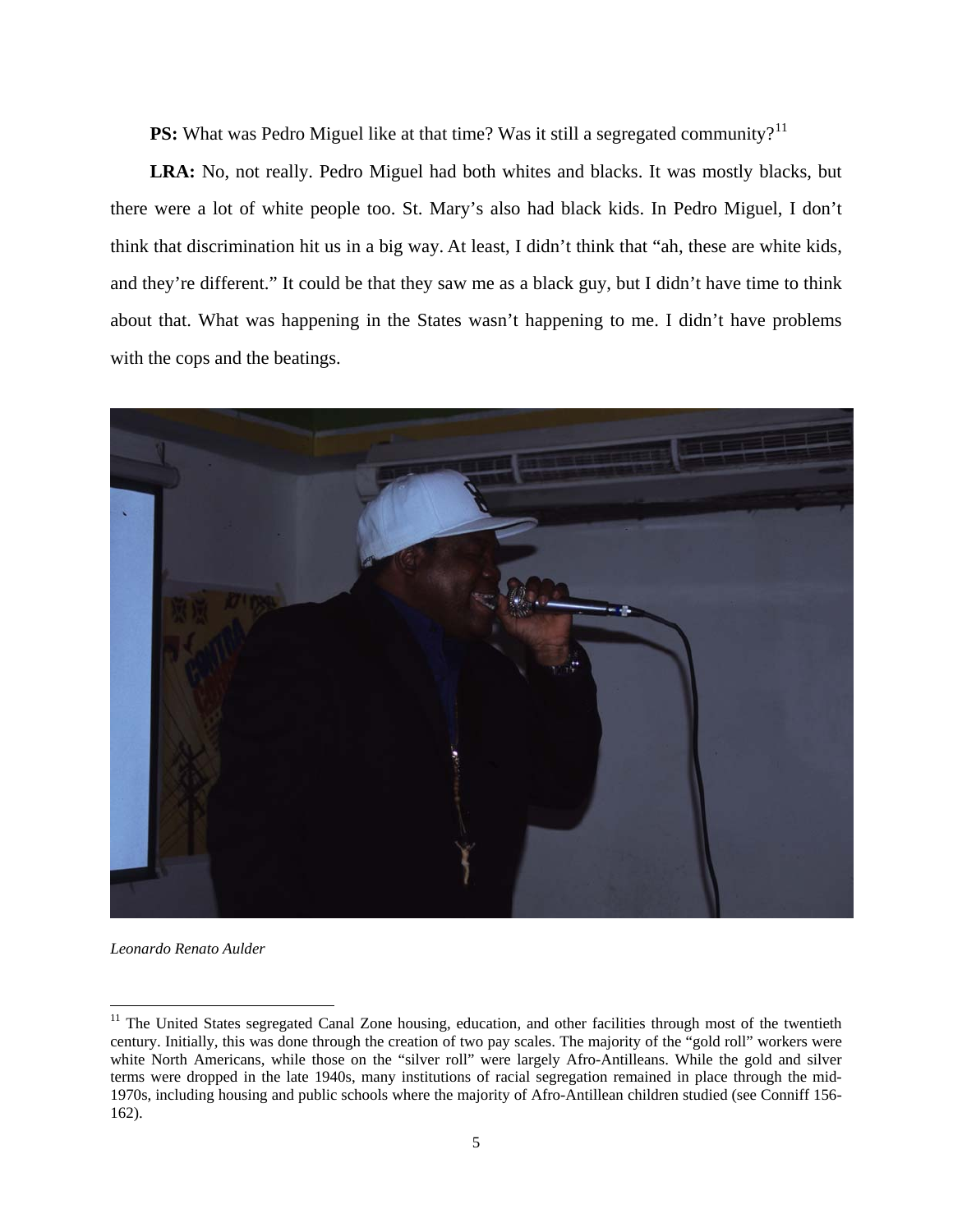**PS:** What was Pedro Miguel like at that time? Was it still a segregated community?<sup>[11](#page-4-0)</sup>

**LRA:** No, not really. Pedro Miguel had both whites and blacks. It was mostly blacks, but there were a lot of white people too. St. Mary's also had black kids. In Pedro Miguel, I don't think that discrimination hit us in a big way. At least, I didn't think that "ah, these are white kids, and they're different." It could be that they saw me as a black guy, but I didn't have time to think about that. What was happening in the States wasn't happening to me. I didn't have problems with the cops and the beatings.



*Leonardo Renato Aulder*

<span id="page-4-0"></span><sup>&</sup>lt;sup>11</sup> The United States segregated Canal Zone housing, education, and other facilities through most of the twentieth century. Initially, this was done through the creation of two pay scales. The majority of the "gold roll" workers were white North Americans, while those on the "silver roll" were largely Afro-Antilleans. While the gold and silver terms were dropped in the late 1940s, many institutions of racial segregation remained in place through the mid-1970s, including housing and public schools where the majority of Afro-Antillean children studied (see Conniff 156- 162).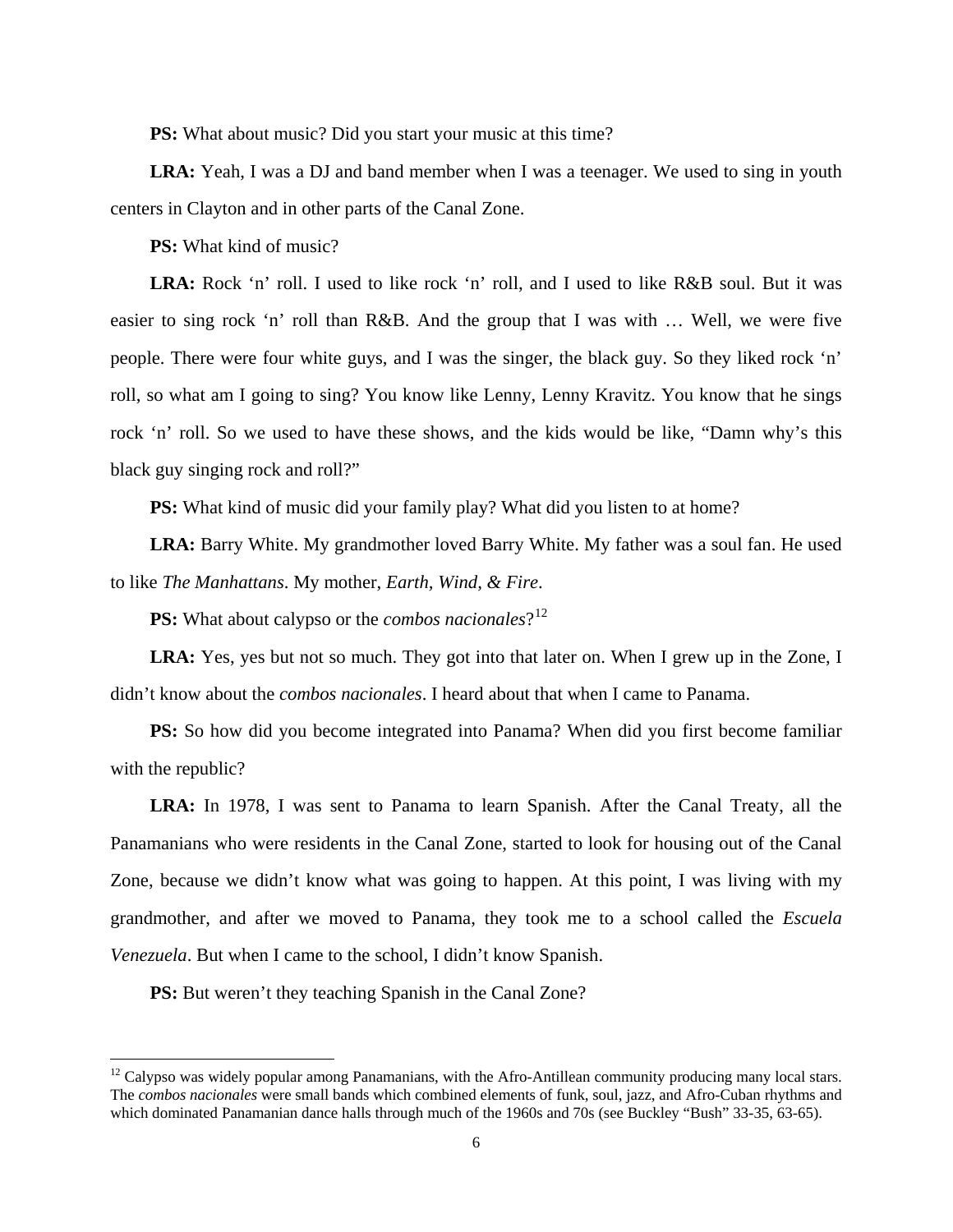**PS:** What about music? Did you start your music at this time?

**LRA:** Yeah, I was a DJ and band member when I was a teenager. We used to sing in youth centers in Clayton and in other parts of the Canal Zone.

**PS:** What kind of music?

**LRA:** Rock 'n' roll. I used to like rock 'n' roll, and I used to like R&B soul. But it was easier to sing rock 'n' roll than R&B. And the group that I was with … Well, we were five people. There were four white guys, and I was the singer, the black guy. So they liked rock 'n' roll, so what am I going to sing? You know like Lenny, Lenny Kravitz. You know that he sings rock 'n' roll. So we used to have these shows, and the kids would be like, "Damn why's this black guy singing rock and roll?"

**PS:** What kind of music did your family play? What did you listen to at home?

**LRA:** Barry White. My grandmother loved Barry White. My father was a soul fan. He used to like *The Manhattans*. My mother, *Earth, Wind, & Fire*.

**PS:** What about calypso or the *combos nacionales*?<sup>[12](#page-5-0)</sup>

**LRA:** Yes, yes but not so much. They got into that later on. When I grew up in the Zone, I didn't know about the *combos nacionales*. I heard about that when I came to Panama.

**PS:** So how did you become integrated into Panama? When did you first become familiar with the republic?

**LRA:** In 1978, I was sent to Panama to learn Spanish. After the Canal Treaty, all the Panamanians who were residents in the Canal Zone, started to look for housing out of the Canal Zone, because we didn't know what was going to happen. At this point, I was living with my grandmother, and after we moved to Panama, they took me to a school called the *Escuela Venezuela*. But when I came to the school, I didn't know Spanish.

**PS:** But weren't they teaching Spanish in the Canal Zone?

<span id="page-5-0"></span><sup>&</sup>lt;sup>12</sup> Calypso was widely popular among Panamanians, with the Afro-Antillean community producing many local stars. The *combos nacionales* were small bands which combined elements of funk, soul, jazz, and Afro-Cuban rhythms and which dominated Panamanian dance halls through much of the 1960s and 70s (see Buckley "Bush" 33-35, 63-65).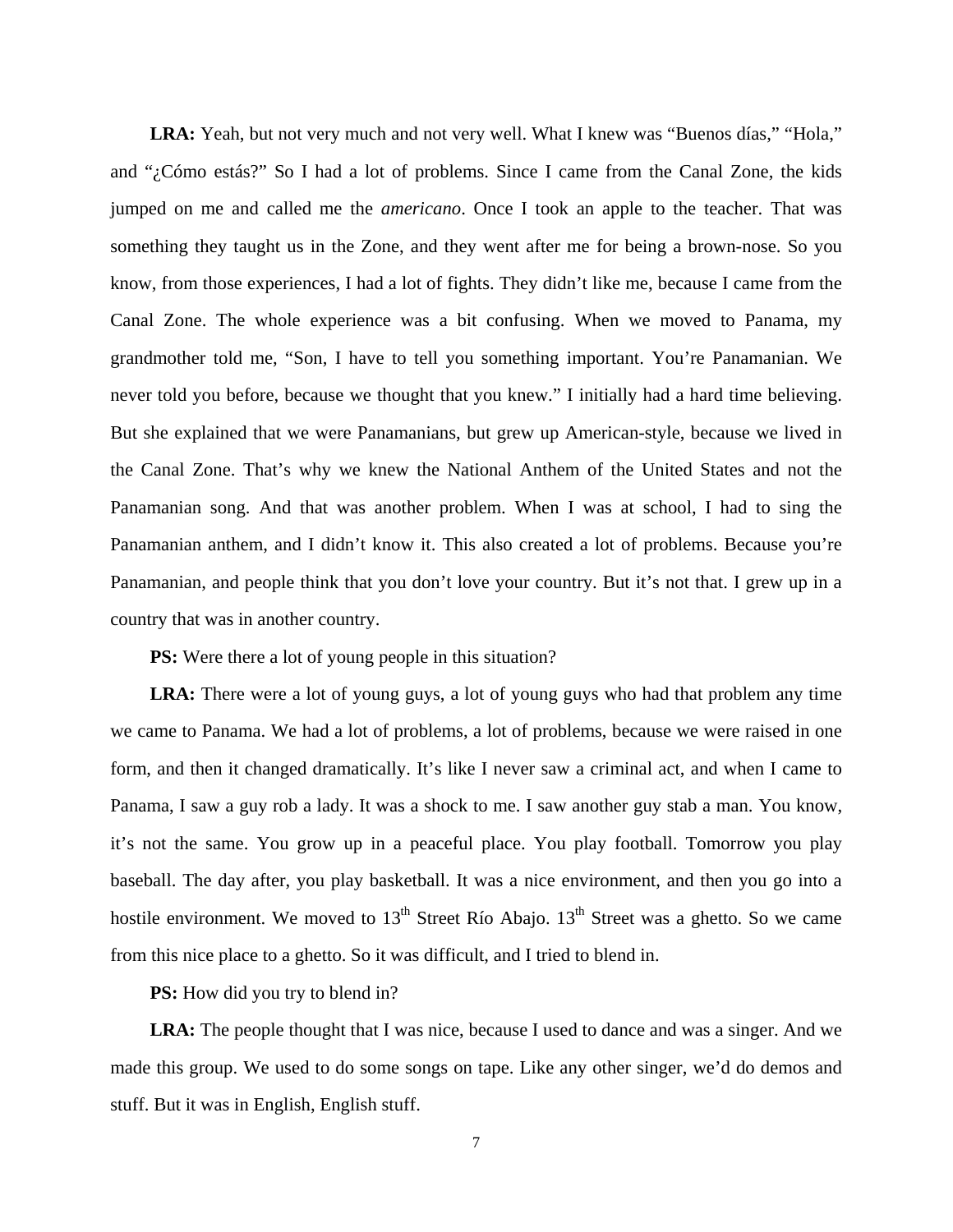LRA: Yeah, but not very much and not very well. What I knew was "Buenos días," "Hola," and "¿Cómo estás?" So I had a lot of problems. Since I came from the Canal Zone, the kids jumped on me and called me the *americano*. Once I took an apple to the teacher. That was something they taught us in the Zone, and they went after me for being a brown-nose. So you know, from those experiences, I had a lot of fights. They didn't like me, because I came from the Canal Zone. The whole experience was a bit confusing. When we moved to Panama, my grandmother told me, "Son, I have to tell you something important. You're Panamanian. We never told you before, because we thought that you knew." I initially had a hard time believing. But she explained that we were Panamanians, but grew up American-style, because we lived in the Canal Zone. That's why we knew the National Anthem of the United States and not the Panamanian song. And that was another problem. When I was at school, I had to sing the Panamanian anthem, and I didn't know it. This also created a lot of problems. Because you're Panamanian, and people think that you don't love your country. But it's not that. I grew up in a country that was in another country.

**PS:** Were there a lot of young people in this situation?

**LRA:** There were a lot of young guys, a lot of young guys who had that problem any time we came to Panama. We had a lot of problems, a lot of problems, because we were raised in one form, and then it changed dramatically. It's like I never saw a criminal act, and when I came to Panama, I saw a guy rob a lady. It was a shock to me. I saw another guy stab a man. You know, it's not the same. You grow up in a peaceful place. You play football. Tomorrow you play baseball. The day after, you play basketball. It was a nice environment, and then you go into a hostile environment. We moved to  $13<sup>th</sup>$  Street Río Abajo.  $13<sup>th</sup>$  Street was a ghetto. So we came from this nice place to a ghetto. So it was difficult, and I tried to blend in.

**PS:** How did you try to blend in?

**LRA:** The people thought that I was nice, because I used to dance and was a singer. And we made this group. We used to do some songs on tape. Like any other singer, we'd do demos and stuff. But it was in English, English stuff.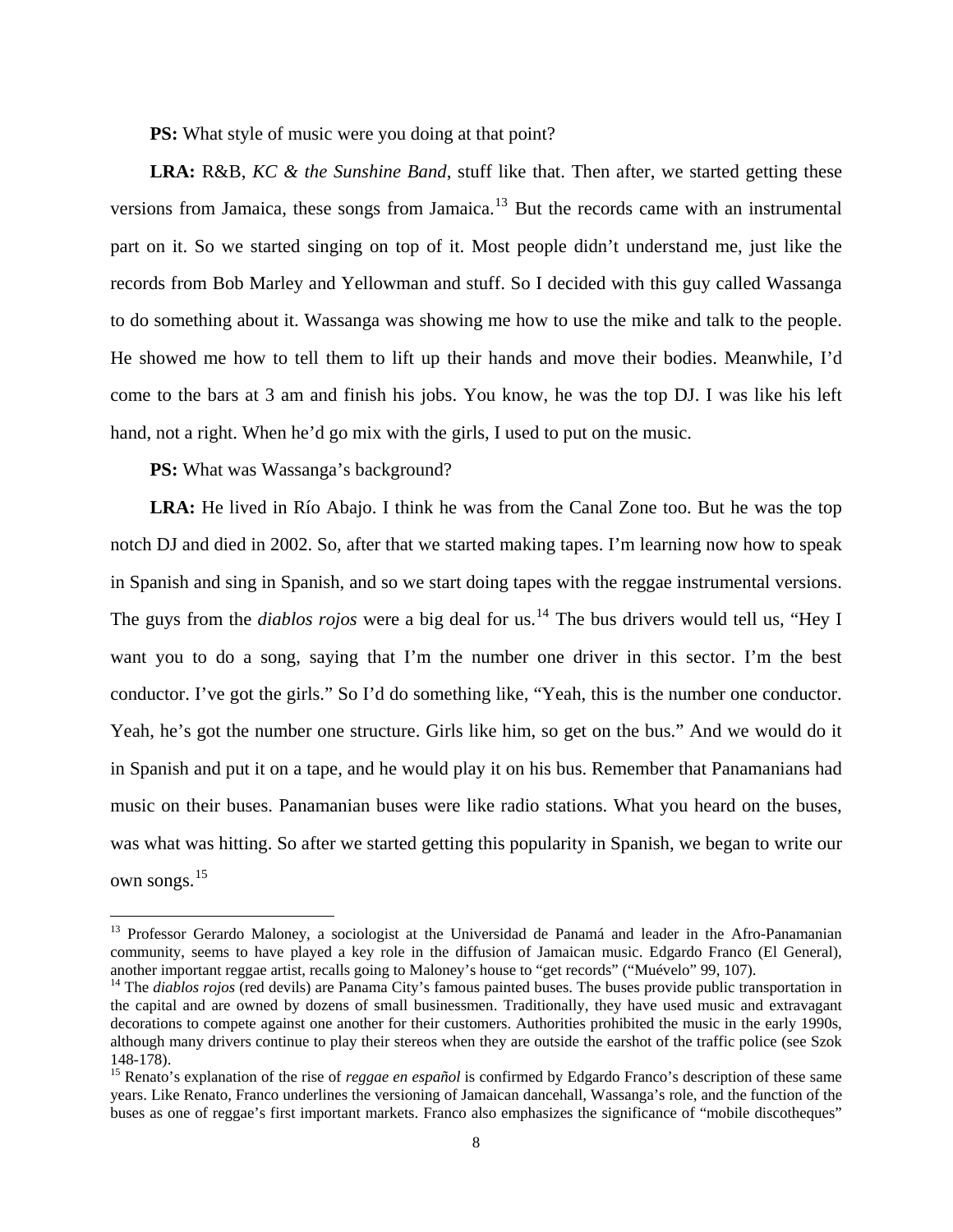**PS:** What style of music were you doing at that point?

**LRA:** R&B, *KC & the Sunshine Band*, stuff like that. Then after, we started getting these versions from Jamaica, these songs from Jamaica.<sup>[13](#page-7-0)</sup> But the records came with an instrumental part on it. So we started singing on top of it. Most people didn't understand me, just like the records from Bob Marley and Yellowman and stuff. So I decided with this guy called Wassanga to do something about it. Wassanga was showing me how to use the mike and talk to the people. He showed me how to tell them to lift up their hands and move their bodies. Meanwhile, I'd come to the bars at 3 am and finish his jobs. You know, he was the top DJ. I was like his left hand, not a right. When he'd go mix with the girls, I used to put on the music.

**PS:** What was Wassanga's background?

 $\overline{a}$ 

**LRA:** He lived in Río Abajo. I think he was from the Canal Zone too. But he was the top notch DJ and died in 2002. So, after that we started making tapes. I'm learning now how to speak in Spanish and sing in Spanish, and so we start doing tapes with the reggae instrumental versions. The guys from the *diablos rojos* were a big deal for us.<sup>[14](#page-7-1)</sup> The bus drivers would tell us, "Hey I want you to do a song, saying that I'm the number one driver in this sector. I'm the best conductor. I've got the girls." So I'd do something like, "Yeah, this is the number one conductor. Yeah, he's got the number one structure. Girls like him, so get on the bus." And we would do it in Spanish and put it on a tape, and he would play it on his bus. Remember that Panamanians had music on their buses. Panamanian buses were like radio stations. What you heard on the buses, was what was hitting. So after we started getting this popularity in Spanish, we began to write our own songs.<sup>[15](#page-7-2)</sup>

<span id="page-7-0"></span><sup>&</sup>lt;sup>13</sup> Professor Gerardo Maloney, a sociologist at the Universidad de Panamá and leader in the Afro-Panamanian community, seems to have played a key role in the diffusion of Jamaican music. Edgardo Franco (El General), another important reggae artist, recalls going to Maloney's house to "get records" ("Muévelo" 99, 107).

<span id="page-7-1"></span><sup>&</sup>lt;sup>14</sup> The *diablos rojos* (red devils) are Panama City's famous painted buses. The buses provide public transportation in the capital and are owned by dozens of small businessmen. Traditionally, they have used music and extravagant decorations to compete against one another for their customers. Authorities prohibited the music in the early 1990s, although many drivers continue to play their stereos when they are outside the earshot of the traffic police (see Szok 148-178).

<span id="page-7-2"></span><sup>15</sup> Renato's explanation of the rise of *reggae en español* is confirmed by Edgardo Franco's description of these same years. Like Renato, Franco underlines the versioning of Jamaican dancehall, Wassanga's role, and the function of the buses as one of reggae's first important markets. Franco also emphasizes the significance of "mobile discotheques"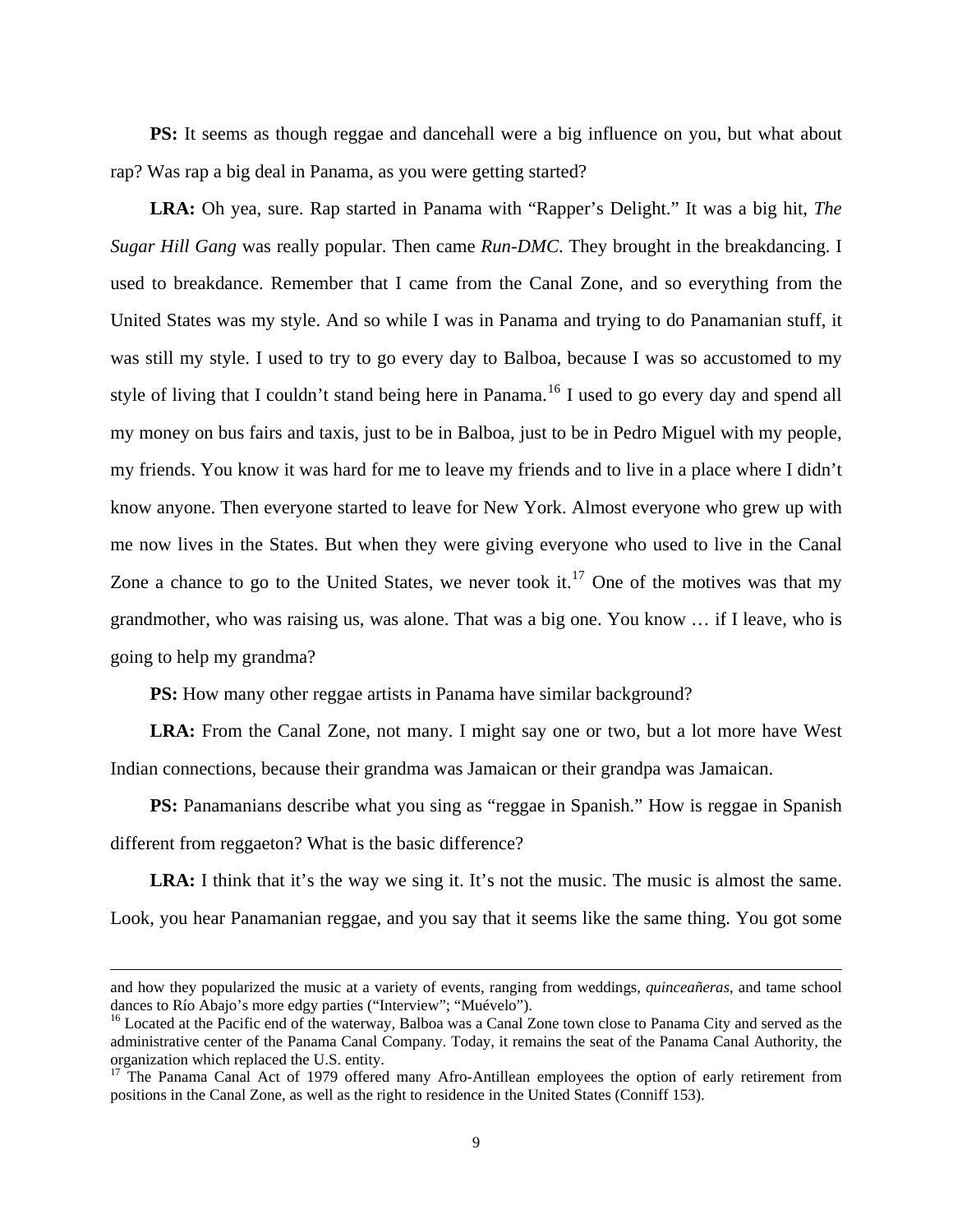**PS:** It seems as though reggae and dancehall were a big influence on you, but what about rap? Was rap a big deal in Panama, as you were getting started?

**LRA:** Oh yea, sure. Rap started in Panama with "Rapper's Delight." It was a big hit, *The Sugar Hill Gang* was really popular. Then came *Run-DMC*. They brought in the breakdancing. I used to breakdance. Remember that I came from the Canal Zone, and so everything from the United States was my style. And so while I was in Panama and trying to do Panamanian stuff, it was still my style. I used to try to go every day to Balboa, because I was so accustomed to my style of living that I couldn't stand being here in Panama.<sup>[16](#page-8-0)</sup> I used to go every day and spend all my money on bus fairs and taxis, just to be in Balboa, just to be in Pedro Miguel with my people, my friends. You know it was hard for me to leave my friends and to live in a place where I didn't know anyone. Then everyone started to leave for New York. Almost everyone who grew up with me now lives in the States. But when they were giving everyone who used to live in the Canal Zone a chance to go to the United States, we never took it.<sup>[17](#page-8-1)</sup> One of the motives was that my grandmother, who was raising us, was alone. That was a big one. You know … if I leave, who is going to help my grandma?

**PS:** How many other reggae artists in Panama have similar background?

**LRA:** From the Canal Zone, not many. I might say one or two, but a lot more have West Indian connections, because their grandma was Jamaican or their grandpa was Jamaican.

**PS:** Panamanians describe what you sing as "reggae in Spanish." How is reggae in Spanish different from reggaeton? What is the basic difference?

LRA: I think that it's the way we sing it. It's not the music. The music is almost the same. Look, you hear Panamanian reggae, and you say that it seems like the same thing. You got some

and how they popularized the music at a variety of events, ranging from weddings, *quinceañeras*, and tame school dances to Río Abajo's more edgy parties ("Interview"; "Muévelo").

<span id="page-8-0"></span><sup>&</sup>lt;sup>16</sup> Located at the Pacific end of the waterway, Balboa was a Canal Zone town close to Panama City and served as the administrative center of the Panama Canal Company. Today, it remains the seat of the Panama Canal Authority, the organization which replaced the U.S. entity.

<span id="page-8-1"></span><sup>&</sup>lt;sup>17</sup> The Panama Canal Act of 1979 offered many Afro-Antillean employees the option of early retirement from positions in the Canal Zone, as well as the right to residence in the United States (Conniff 153).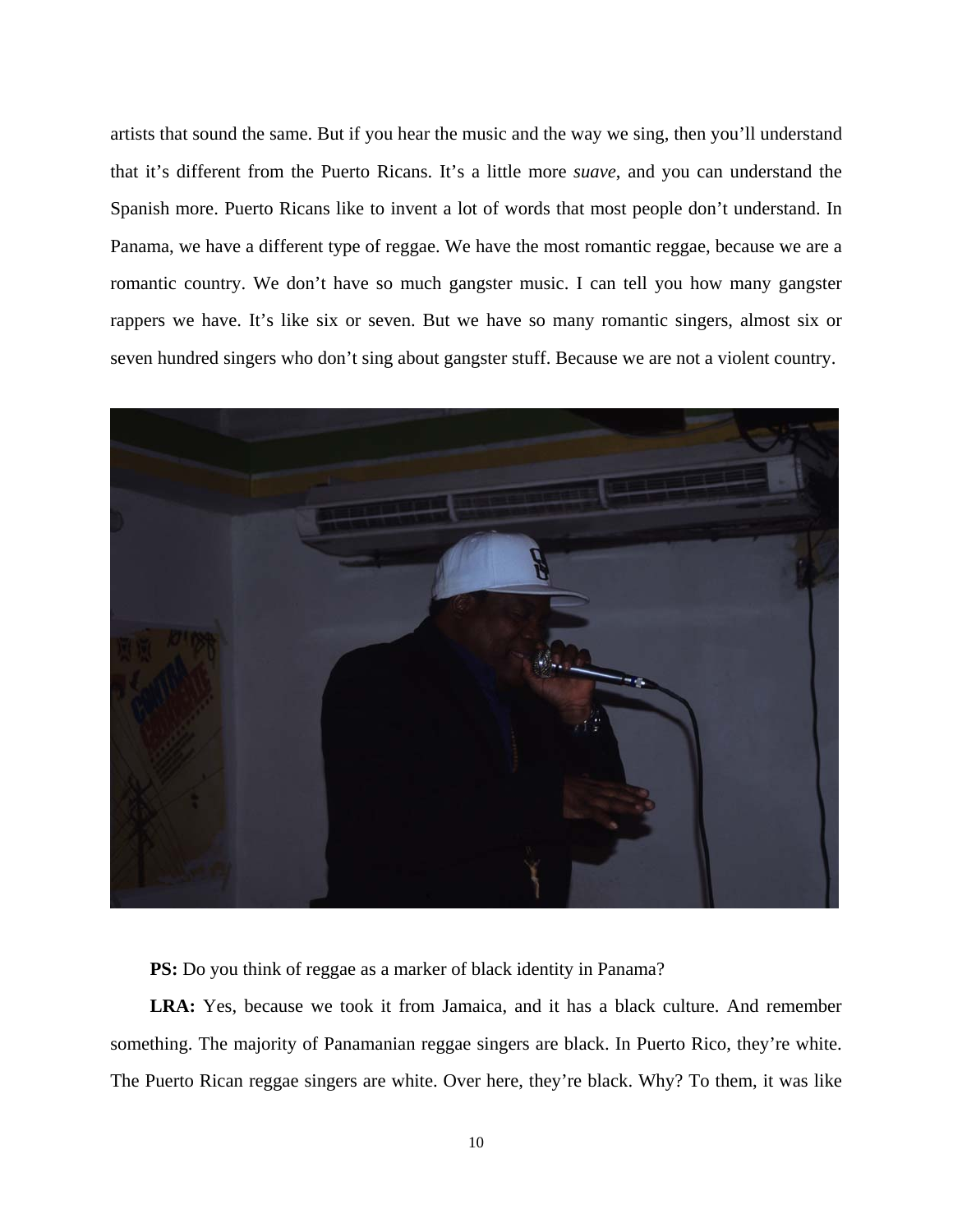artists that sound the same. But if you hear the music and the way we sing, then you'll understand that it's different from the Puerto Ricans. It's a little more *suave*, and you can understand the Spanish more. Puerto Ricans like to invent a lot of words that most people don't understand. In Panama, we have a different type of reggae. We have the most romantic reggae, because we are a romantic country. We don't have so much gangster music. I can tell you how many gangster rappers we have. It's like six or seven. But we have so many romantic singers, almost six or seven hundred singers who don't sing about gangster stuff. Because we are not a violent country.



**PS:** Do you think of reggae as a marker of black identity in Panama?

**LRA:** Yes, because we took it from Jamaica, and it has a black culture. And remember something. The majority of Panamanian reggae singers are black. In Puerto Rico, they're white. The Puerto Rican reggae singers are white. Over here, they're black. Why? To them, it was like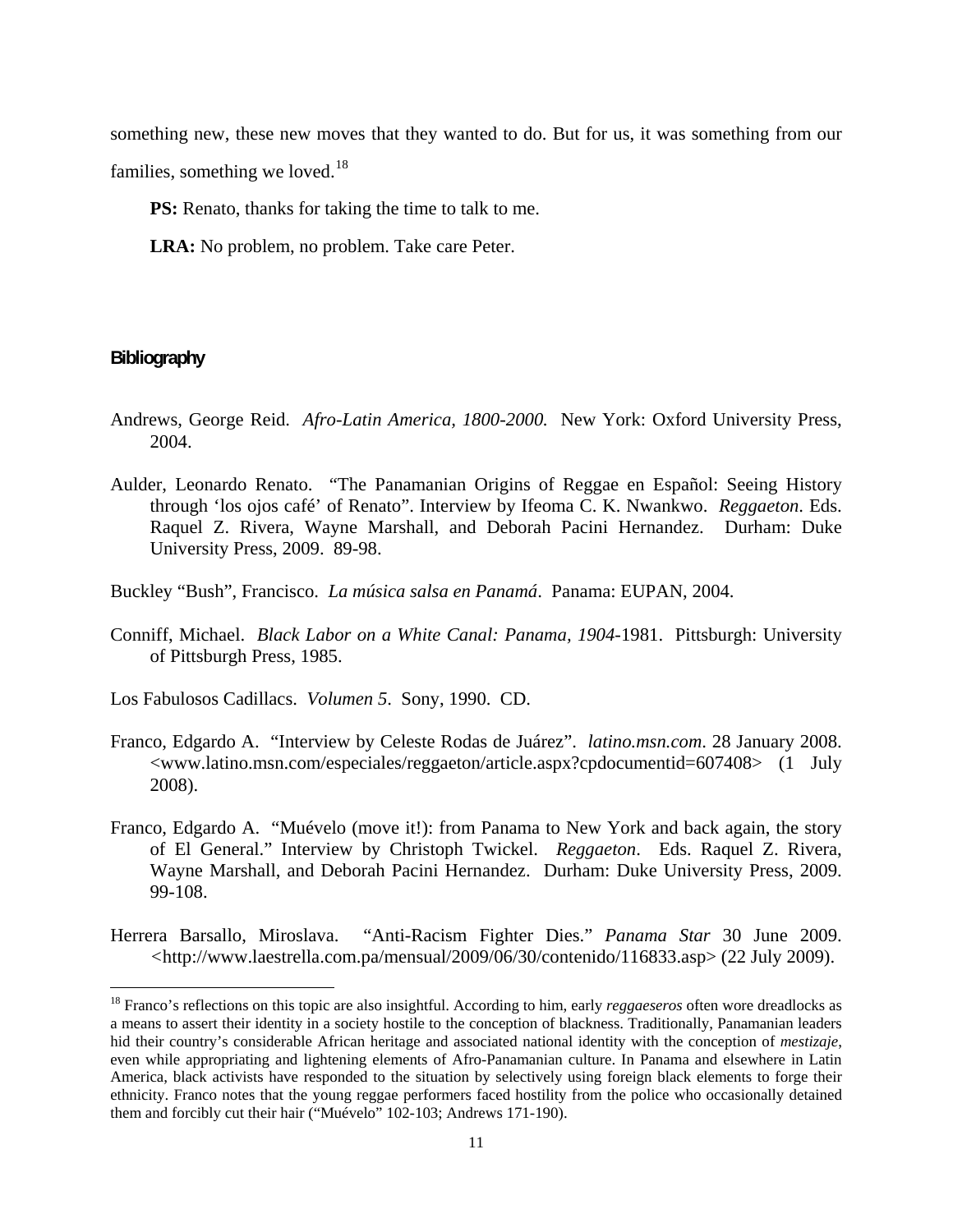something new, these new moves that they wanted to do. But for us, it was something from our families, something we loved. $18$ 

**PS:** Renato, thanks for taking the time to talk to me.

**LRA:** No problem, no problem. Take care Peter.

# **Bibliography**

 $\overline{a}$ 

- Andrews, George Reid. *Afro-Latin America, 1800-2000.* New York: Oxford University Press, 2004.
- Aulder, Leonardo Renato. "The Panamanian Origins of Reggae en Español: Seeing History through 'los ojos café' of Renato". Interview by Ifeoma C. K. Nwankwo. *Reggaeton*. Eds. Raquel Z. Rivera, Wayne Marshall, and Deborah Pacini Hernandez. Durham: Duke University Press, 2009. 89-98.

Buckley "Bush", Francisco. *La música salsa en Panamá*. Panama: EUPAN, 2004.

- Conniff, Michael. *Black Labor on a White Canal: Panama, 1904-*1981. Pittsburgh: University of Pittsburgh Press, 1985.
- Los Fabulosos Cadillacs. *Volumen 5*. Sony, 1990. CD.
- Franco, Edgardo A. "Interview by Celeste Rodas de Juárez". *latino.msn.com*. 28 January 2008. [<www.latino.msn.com/especiales/reggaeton/article.aspx?cpdocumentid=607408](http://www.latino.msn.com/especiales/reggaeton/article.aspx?cpdocumentid=607408)> (1 July 2008).
- Franco, Edgardo A. "Muévelo (move it!): from Panama to New York and back again, the story of El General." Interview by Christoph Twickel. *Reggaeton*. Eds. Raquel Z. Rivera, Wayne Marshall, and Deborah Pacini Hernandez. Durham: Duke University Press, 2009. 99-108.
- Herrera Barsallo, Miroslava. "Anti-Racism Fighter Dies." *Panama Star* 30 June 2009. *<*[http://www.laestrella.com.pa/mensual/2009/06/30/contenido/116833.asp>](http://www.laestrella.com.pa/mensual/2009/06/30/contenido/116833.asp) (22 July 2009).

<span id="page-10-0"></span><sup>18</sup> Franco's reflections on this topic are also insightful. According to him, early *reggaeseros* often wore dreadlocks as a means to assert their identity in a society hostile to the conception of blackness. Traditionally, Panamanian leaders hid their country's considerable African heritage and associated national identity with the conception of *mestizaje*, even while appropriating and lightening elements of Afro-Panamanian culture. In Panama and elsewhere in Latin America, black activists have responded to the situation by selectively using foreign black elements to forge their ethnicity. Franco notes that the young reggae performers faced hostility from the police who occasionally detained them and forcibly cut their hair ("Muévelo" 102-103; Andrews 171-190).